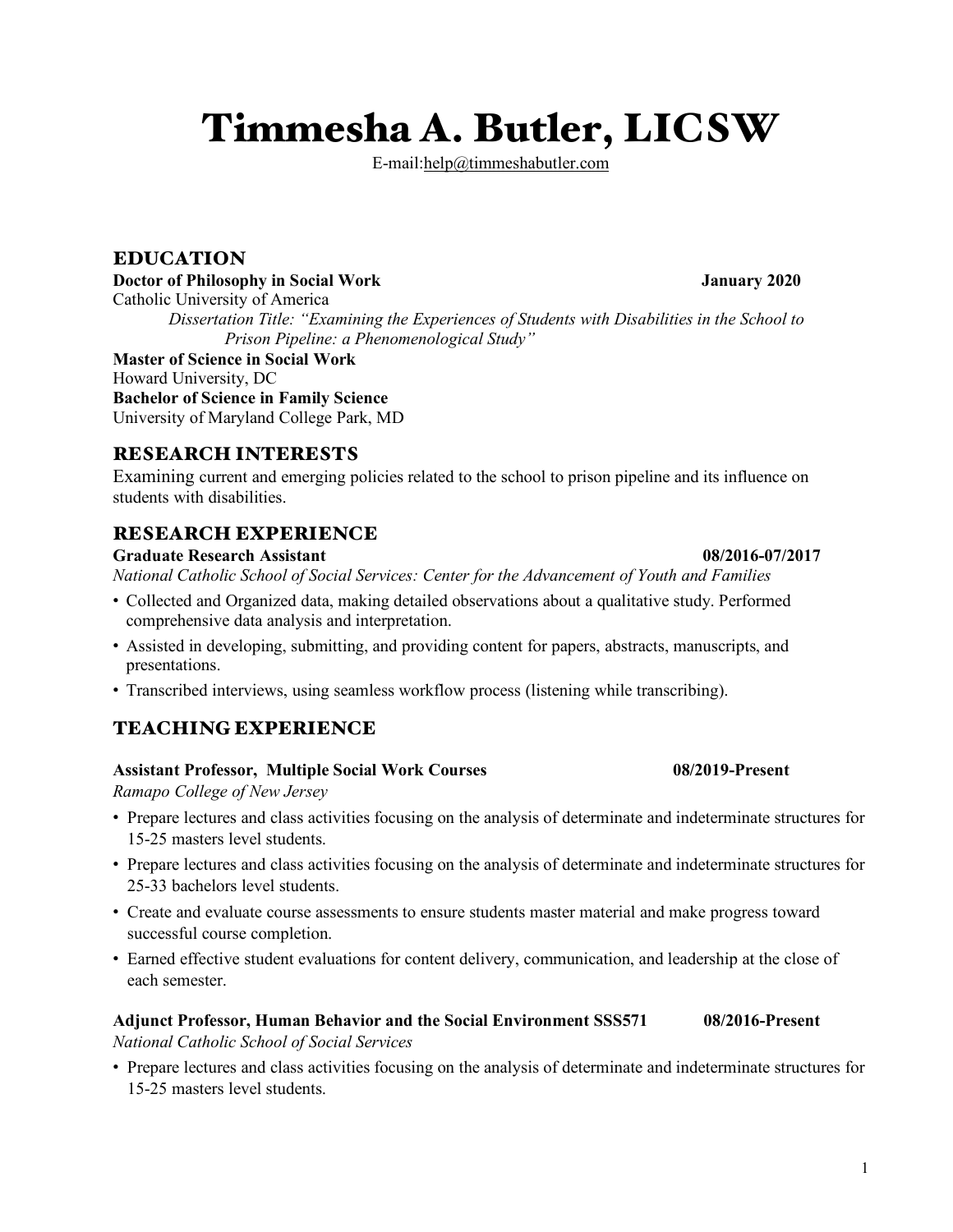# Timmesha A. Butler, LICSW

E-mail:help@timmeshabutler.com

# EDUCATION

#### **Doctor of Philosophy in Social Work January 2020**

Catholic University of America

*Dissertation Title: "Examining the Experiences of Students with Disabilities in the School to Prison Pipeline: a Phenomenological Study"*

**Master of Science in Social Work**  Howard University, DC **Bachelor of Science in Family Science** University of Maryland College Park, MD

# RESEARCH INTERESTS

Examining current and emerging policies related to the school to prison pipeline and its influence on students with disabilities.

# RESEARCH EXPERIENCE

**Graduate Research Assistant 08/2016-07/2017** *National Catholic School of Social Services: Center for the Advancement of Youth and Families*

- " Collected and Organized data, making detailed observations about a qualitative study. Performed comprehensive data analysis and interpretation.
- " Assisted in developing, submitting, and providing content for papers, abstracts, manuscripts, and presentations.
- " Transcribed interviews, using seamless workflow process (listening while transcribing).

# TEACHING EXPERIENCE

### **Assistant Professor, Multiple Social Work Courses 08/2019-Present**

*Ramapo College of New Jersey*

- " Prepare lectures and class activities focusing on the analysis of determinate and indeterminate structures for 15-25 masters level students.
- " Prepare lectures and class activities focusing on the analysis of determinate and indeterminate structures for 25-33 bachelors level students.
- " Create and evaluate course assessments to ensure students master material and make progress toward successful course completion.
- " Earned effective student evaluations for content delivery, communication, and leadership at the close of each semester.

#### **Adjunct Professor, Human Behavior and the Social Environment SSS571 08/2016-Present** *National Catholic School of Social Services*

" Prepare lectures and class activities focusing on the analysis of determinate and indeterminate structures for 15-25 masters level students.

1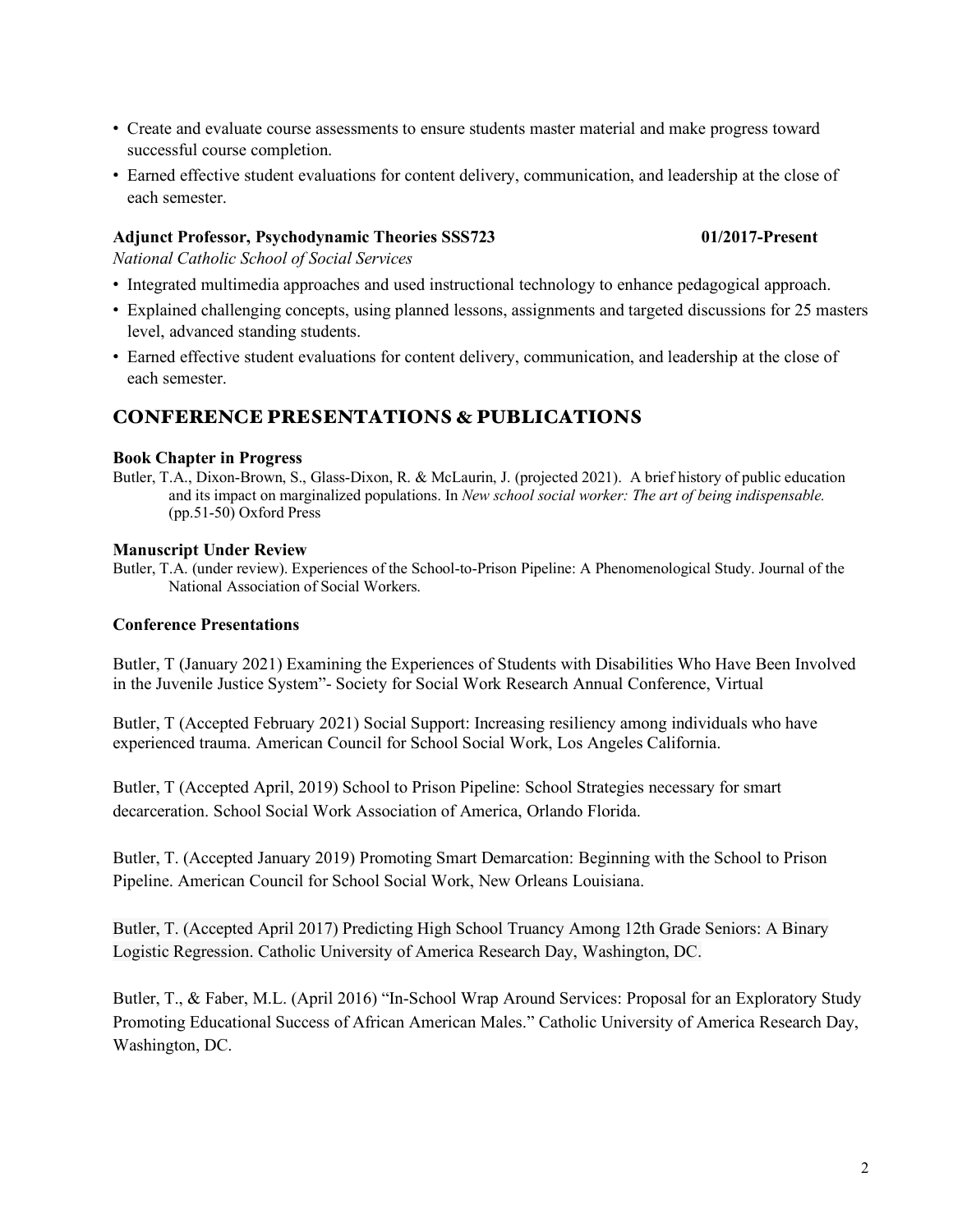- " Create and evaluate course assessments to ensure students master material and make progress toward successful course completion.
- " Earned effective student evaluations for content delivery, communication, and leadership at the close of each semester.

### **Adjunct Professor, Psychodynamic Theories SSS723 01/2017-Present**

*National Catholic School of Social Services*

- " Integrated multimedia approaches and used instructional technology to enhance pedagogical approach.
- " Explained challenging concepts, using planned lessons, assignments and targeted discussions for 25 masters level, advanced standing students.
- " Earned effective student evaluations for content delivery, communication, and leadership at the close of each semester.

### CONFERENCE PRESENTATIONS & PUBLICATIONS

#### **Book Chapter in Progress**

Butler, T.A., Dixon-Brown, S., Glass-Dixon, R. & McLaurin, J. (projected 2021). A brief history of public education and its impact on marginalized populations. In *New school social worker: The art of being indispensable.* (pp.51-50) Oxford Press

#### **Manuscript Under Review**

Butler, T.A. (under review). Experiences of the School-to-Prison Pipeline: A Phenomenological Study. Journal of the National Association of Social Workers.

#### **Conference Presentations**

Butler, T (January 2021) Examining the Experiences of Students with Disabilities Who Have Been Involved in the Juvenile Justice System"- Society for Social Work Research Annual Conference, Virtual

Butler, T (Accepted February 2021) Social Support: Increasing resiliency among individuals who have experienced trauma. American Council for School Social Work, Los Angeles California.

Butler, T (Accepted April, 2019) School to Prison Pipeline: School Strategies necessary for smart decarceration. School Social Work Association of America, Orlando Florida.

Butler, T. (Accepted January 2019) Promoting Smart Demarcation: Beginning with the School to Prison Pipeline. American Council for School Social Work, New Orleans Louisiana.

Butler, T. (Accepted April 2017) Predicting High School Truancy Among 12th Grade Seniors: A Binary Logistic Regression. Catholic University of America Research Day, Washington, DC.

Butler, T., & Faber, M.L. (April 2016) "In-School Wrap Around Services: Proposal for an Exploratory Study Promoting Educational Success of African American Males." Catholic University of America Research Day, Washington, DC.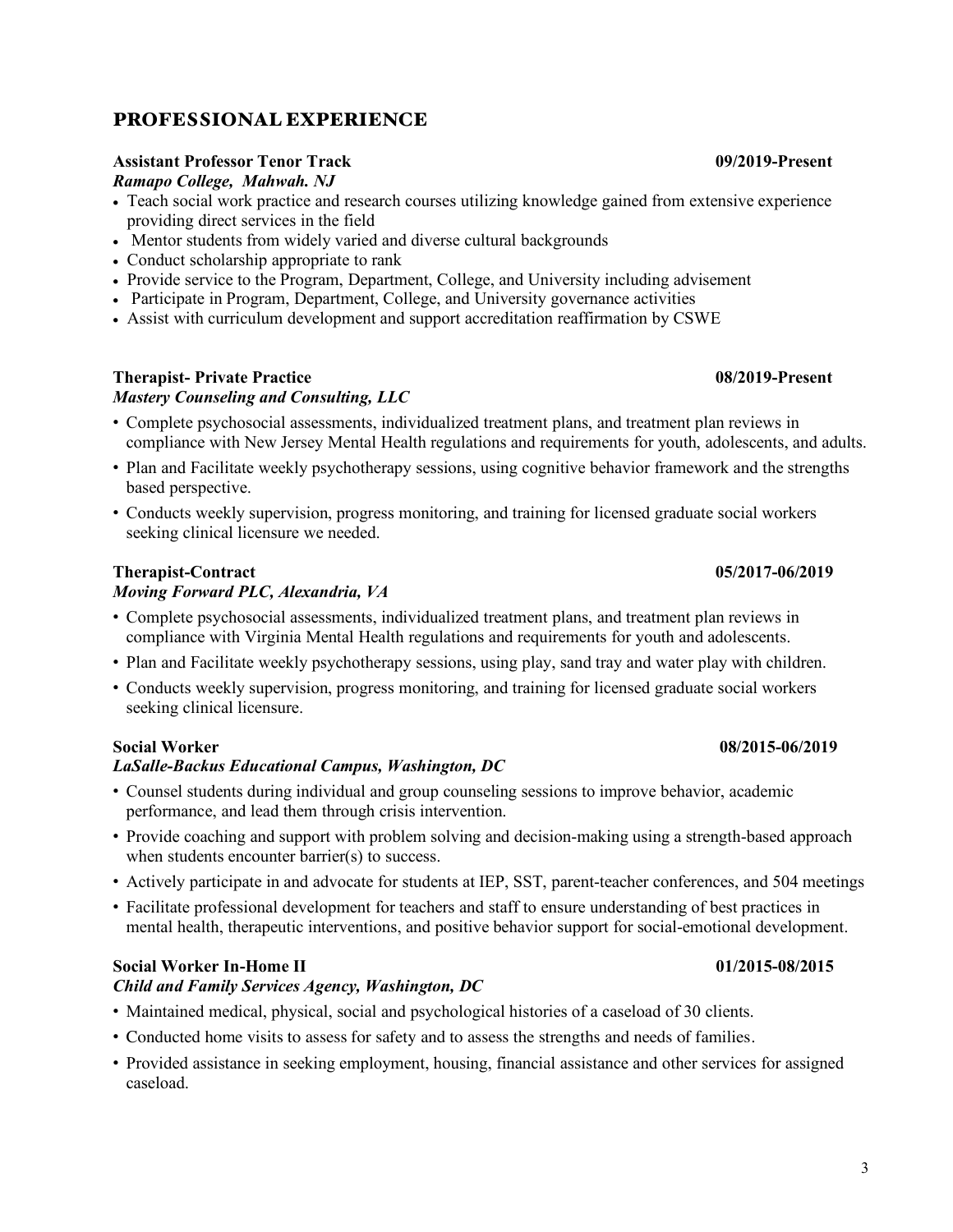# PROFESSIONAL EXPERIENCE

#### **Assistant Professor Tenor Track 09/2019-Present**

*Ramapo College, Mahwah. NJ*

- Teach social work practice and research courses utilizing knowledge gained from extensive experience providing direct services in the field
- Mentor students from widely varied and diverse cultural backgrounds
- Conduct scholarship appropriate to rank
- Provide service to the Program, Department, College, and University including advisement
- Participate in Program, Department, College, and University governance activities
- Assist with curriculum development and support accreditation reaffirmation by CSWE

### **Therapist- Private Practice 08/2019-Present**

### *Mastery Counseling and Consulting, LLC*

- " Complete psychosocial assessments, individualized treatment plans, and treatment plan reviews in compliance with New Jersey Mental Health regulations and requirements for youth, adolescents, and adults.
- " Plan and Facilitate weekly psychotherapy sessions, using cognitive behavior framework and the strengths based perspective.
- " Conducts weekly supervision, progress monitoring, and training for licensed graduate social workers seeking clinical licensure we needed.

# **Therapist-Contract 05/2017-06/2019**

# *Moving Forward PLC, Alexandria, VA*

- " Complete psychosocial assessments, individualized treatment plans, and treatment plan reviews in compliance with Virginia Mental Health regulations and requirements for youth and adolescents.
- " Plan and Facilitate weekly psychotherapy sessions, using play, sand tray and water play with children.
- " Conducts weekly supervision, progress monitoring, and training for licensed graduate social workers seeking clinical licensure.

### **Social Worker 08/2015-06/2019**

### *LaSalle-Backus Educational Campus, Washington, DC*

- " Counsel students during individual and group counseling sessions to improve behavior, academic performance, and lead them through crisis intervention.
- " Provide coaching and support with problem solving and decision-making using a strength-based approach when students encounter barrier(s) to success.
- " Actively participate in and advocate for students at IEP, SST, parent-teacher conferences, and 504 meetings
- " Facilitate professional development for teachers and staff to ensure understanding of best practices in mental health, therapeutic interventions, and positive behavior support for social-emotional development.

### **Social Worker In-Home II 01/2015-08/2015**

# *Child and Family Services Agency, Washington, DC*

- " Maintained medical, physical, social and psychological histories of a caseload of 30 clients.
- " Conducted home visits to assess for safety and to assess the strengths and needs of families.
- " Provided assistance in seeking employment, housing, financial assistance and other services for assigned caseload.